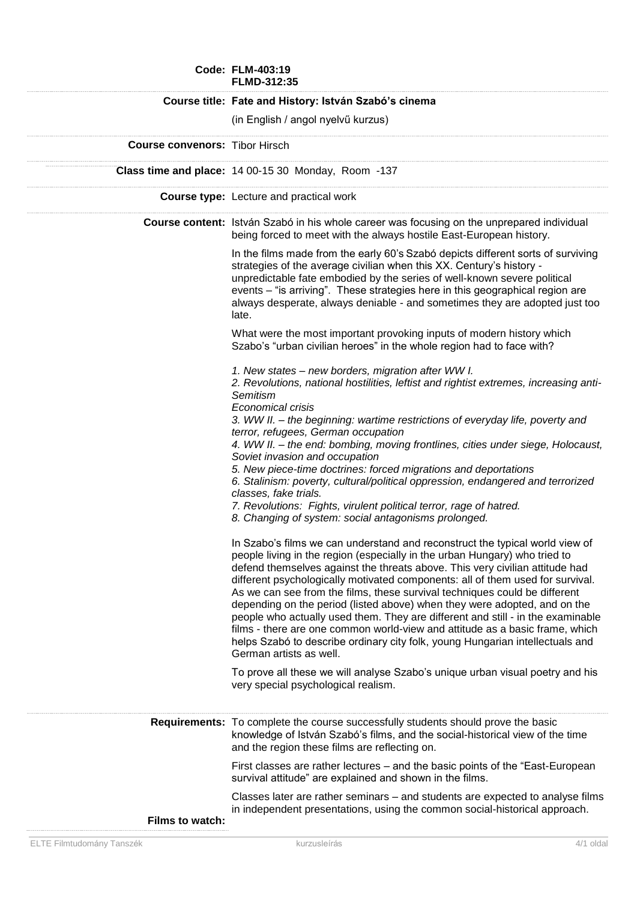|                                       | Code: FLM-403:19<br>FLMD-312:35                                                                                                                                                                                                                                                                                                                                                                                                                                                                                                                                                                                                                                                                                                                                        |
|---------------------------------------|------------------------------------------------------------------------------------------------------------------------------------------------------------------------------------------------------------------------------------------------------------------------------------------------------------------------------------------------------------------------------------------------------------------------------------------------------------------------------------------------------------------------------------------------------------------------------------------------------------------------------------------------------------------------------------------------------------------------------------------------------------------------|
|                                       | Course title: Fate and History: István Szabó's cinema                                                                                                                                                                                                                                                                                                                                                                                                                                                                                                                                                                                                                                                                                                                  |
|                                       | (in English / angol nyelvű kurzus)                                                                                                                                                                                                                                                                                                                                                                                                                                                                                                                                                                                                                                                                                                                                     |
| <b>Course convenors: Tibor Hirsch</b> |                                                                                                                                                                                                                                                                                                                                                                                                                                                                                                                                                                                                                                                                                                                                                                        |
|                                       | Class time and place: 14 00-15 30 Monday, Room -137                                                                                                                                                                                                                                                                                                                                                                                                                                                                                                                                                                                                                                                                                                                    |
|                                       | <b>Course type:</b> Lecture and practical work                                                                                                                                                                                                                                                                                                                                                                                                                                                                                                                                                                                                                                                                                                                         |
|                                       | Course content: István Szabó in his whole career was focusing on the unprepared individual<br>being forced to meet with the always hostile East-European history.                                                                                                                                                                                                                                                                                                                                                                                                                                                                                                                                                                                                      |
|                                       | In the films made from the early 60's Szabó depicts different sorts of surviving<br>strategies of the average civilian when this XX. Century's history -<br>unpredictable fate embodied by the series of well-known severe political<br>events - "is arriving". These strategies here in this geographical region are<br>always desperate, always deniable - and sometimes they are adopted just too<br>late.                                                                                                                                                                                                                                                                                                                                                          |
|                                       | What were the most important provoking inputs of modern history which<br>Szabo's "urban civilian heroes" in the whole region had to face with?                                                                                                                                                                                                                                                                                                                                                                                                                                                                                                                                                                                                                         |
|                                       | 1. New states - new borders, migration after WW I.<br>2. Revolutions, national hostilities, leftist and rightist extremes, increasing anti-<br>Semitism<br>Economical crisis<br>3. WW II. - the beginning: wartime restrictions of everyday life, poverty and                                                                                                                                                                                                                                                                                                                                                                                                                                                                                                          |
|                                       | terror, refugees, German occupation<br>4. WW II. - the end: bombing, moving frontlines, cities under siege, Holocaust,<br>Soviet invasion and occupation                                                                                                                                                                                                                                                                                                                                                                                                                                                                                                                                                                                                               |
|                                       | 5. New piece-time doctrines: forced migrations and deportations<br>6. Stalinism: poverty, cultural/political oppression, endangered and terrorized<br>classes, fake trials.                                                                                                                                                                                                                                                                                                                                                                                                                                                                                                                                                                                            |
|                                       | 7. Revolutions: Fights, virulent political terror, rage of hatred.<br>8. Changing of system: social antagonisms prolonged.                                                                                                                                                                                                                                                                                                                                                                                                                                                                                                                                                                                                                                             |
|                                       | In Szabo's films we can understand and reconstruct the typical world view of<br>people living in the region (especially in the urban Hungary) who tried to<br>defend themselves against the threats above. This very civilian attitude had<br>different psychologically motivated components: all of them used for survival.<br>As we can see from the films, these survival techniques could be different<br>depending on the period (listed above) when they were adopted, and on the<br>people who actually used them. They are different and still - in the examinable<br>films - there are one common world-view and attitude as a basic frame, which<br>helps Szabó to describe ordinary city folk, young Hungarian intellectuals and<br>German artists as well. |
|                                       | To prove all these we will analyse Szabo's unique urban visual poetry and his<br>very special psychological realism.                                                                                                                                                                                                                                                                                                                                                                                                                                                                                                                                                                                                                                                   |
|                                       | <b>Requirements:</b> To complete the course successfully students should prove the basic<br>knowledge of István Szabó's films, and the social-historical view of the time<br>and the region these films are reflecting on.                                                                                                                                                                                                                                                                                                                                                                                                                                                                                                                                             |
|                                       | First classes are rather lectures – and the basic points of the "East-European"<br>survival attitude" are explained and shown in the films.                                                                                                                                                                                                                                                                                                                                                                                                                                                                                                                                                                                                                            |
| Films to watch:                       | Classes later are rather seminars – and students are expected to analyse films<br>in independent presentations, using the common social-historical approach.                                                                                                                                                                                                                                                                                                                                                                                                                                                                                                                                                                                                           |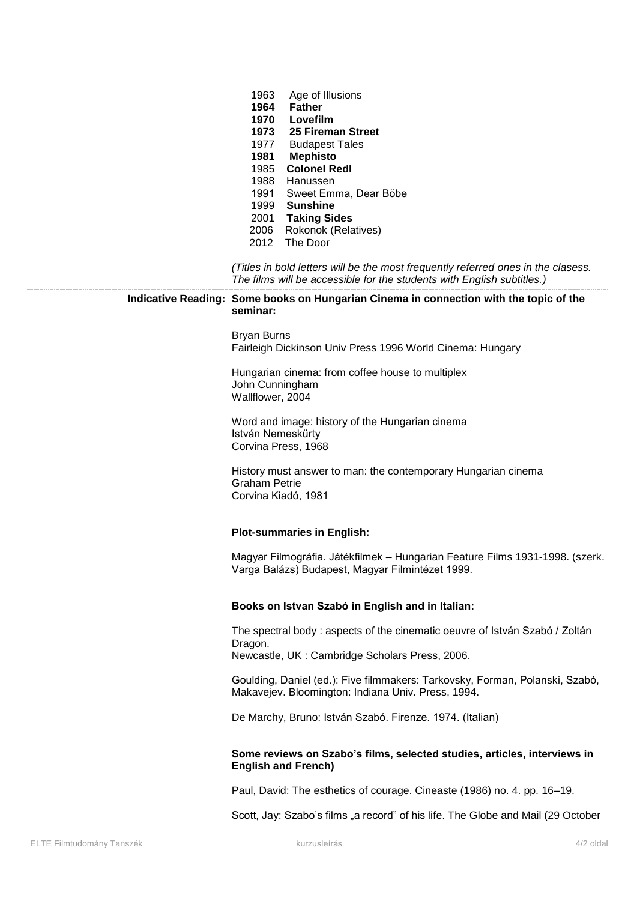| 1963 | Age of Illusions |  |
|------|------------------|--|
| 1964 | Father           |  |
| 1970 | Lovefilm         |  |
|      |                  |  |

- **1973 25 Fireman Street**
- 1977 Budapest Tales
- **1981 Mephisto**
- 1985 **Colonel Redl**
- 1988 Hanussen
- 1991 Sweet Emma, Dear Böbe
- 1999 **Sunshine**
- 2001 **Taking Sides**
- 2006 Rokonok (Relatives)
- 2012 The Door

*(Titles in bold letters will be the most frequently referred ones in the clasess. The films will be accessible for the students with English subtitles.)*

#### **Indicative Reading: Some books on Hungarian Cinema in connection with the topic of the seminar:**

Bryan Burns Fairleigh Dickinson Univ Press 1996 World Cinema: Hungary

Hungarian cinema: from coffee house to multiplex John Cunningham Wallflower, 2004

Word and image: history of the Hungarian cinema István Nemeskürty Corvina Press, 1968

History must answer to man: the contemporary Hungarian cinema Graham Petrie Corvina Kiadó, 1981

# **Plot-summaries in English:**

Magyar Filmográfia. Játékfilmek – Hungarian Feature Films 1931-1998. (szerk. Varga Balázs) Budapest, Magyar Filmintézet 1999.

### **Books on Istvan Szabó in English and in Italian:**

The spectral body : aspects of the cinematic oeuvre of István Szabó / Zoltán Dragon. Newcastle, UK : Cambridge Scholars Press, 2006.

Goulding, Daniel (ed.): Five filmmakers: Tarkovsky, Forman, Polanski, Szabó, Makavejev. Bloomington: Indiana Univ. Press, 1994.

De Marchy, Bruno: István Szabó. Firenze. 1974. (Italian)

## **Some reviews on Szabo's films, selected studies, articles, interviews in English and French)**

Paul, David: The esthetics of courage. Cineaste (1986) no. 4. pp. 16–19.

Scott, Jay: Szabo's films "a record" of his life. The Globe and Mail (29 October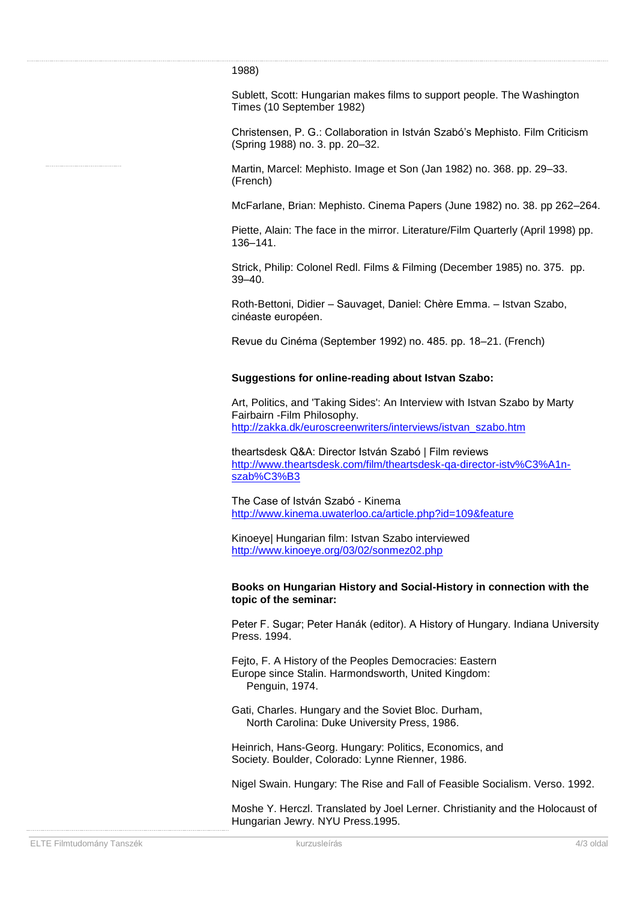1988)

Sublett, Scott: Hungarian makes films to support people. The Washington Times (10 September 1982)

Christensen, P. G.: Collaboration in István Szabó's Mephisto. Film Criticism (Spring 1988) no. 3. pp. 20–32.

Martin, Marcel: Mephisto. Image et Son (Jan 1982) no. 368. pp. 29–33. (French)

McFarlane, Brian: Mephisto. Cinema Papers (June 1982) no. 38. pp 262–264.

Piette, Alain: The face in the mirror. Literature/Film Quarterly (April 1998) pp. 136–141.

Strick, Philip: Colonel Redl. Films & Filming (December 1985) no. 375. pp. 39–40.

Roth-Bettoni, Didier – Sauvaget, Daniel: Chère Emma. – Istvan Szabo, cinéaste européen.

Revue du Cinéma (September 1992) no. 485. pp. 18–21. (French)

### **Suggestions for online-reading about Istvan Szabo:**

Art, Politics, and 'Taking Sides': An Interview with Istvan Szabo by Marty Fairbairn -Film Philosophy. [http://zakka.dk/euroscreenwriters/interviews/istvan\\_szabo.htm](http://zakka.dk/euroscreenwriters/interviews/istvan_szabo.htm)

theartsdesk Q&A: Director István Szabó | Film reviews [http://www.theartsdesk.com/film/theartsdesk-qa-director-istv%C3%A1n](http://www.theartsdesk.com/film/theartsdesk-qa-director-istv%C3%A1n-szab%C3%B3)[szab%C3%B3](http://www.theartsdesk.com/film/theartsdesk-qa-director-istv%C3%A1n-szab%C3%B3)

The Case of István Szabó - Kinema <http://www.kinema.uwaterloo.ca/article.php?id=109&feature>

Kinoeye| Hungarian film: Istvan Szabo interviewed <http://www.kinoeye.org/03/02/sonmez02.php>

### **Books on Hungarian History and Social-History in connection with the topic of the seminar:**

Peter F. Sugar; Peter Hanák (editor). A History of Hungary. Indiana University Press. 1994.

Fejto, F. A History of the Peoples Democracies: Eastern Europe since Stalin. Harmondsworth, United Kingdom: Penguin, 1974.

Gati, Charles. Hungary and the Soviet Bloc. Durham, North Carolina: Duke University Press, 1986.

Heinrich, Hans-Georg. Hungary: Politics, Economics, and Society. Boulder, Colorado: Lynne Rienner, 1986.

Nigel Swain. Hungary: The Rise and Fall of Feasible Socialism. Verso. 1992.

Moshe Y. Herczl. Translated by Joel Lerner. Christianity and the Holocaust of Hungarian Jewry. NYU Press.1995.